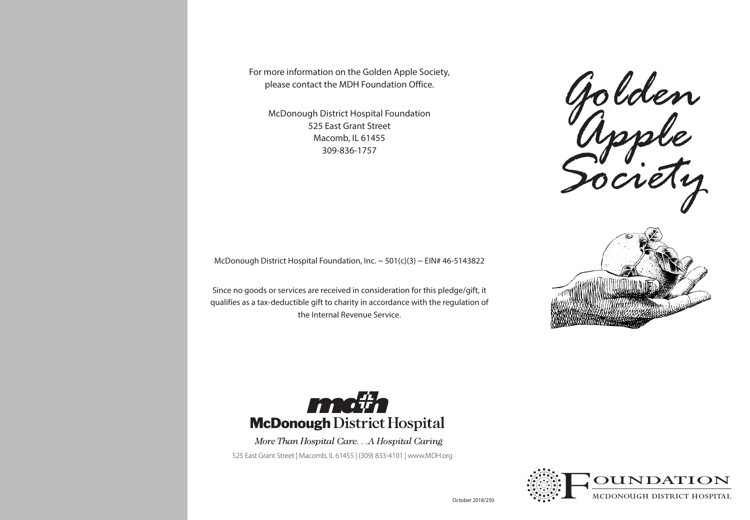For more information on the Golden Apple Society, please contact the MDH Foundation Office.

McDonough District Hospital Foundation 525 East Grant Street Macomb, IL 61455 309-836-1757

*Golden Apple Society*

McDonough District Hospital Foundation, Inc.  $\sim$  501(c)(3)  $\sim$  EIN# 46-5143822

Since no goods or services are received in consideration for this pledge/gift, it qualifies as a tax-deductible gift to charity in accordance with the regulation of the Internal Revenue Service.





More Than Hospital Care. . . A Hospital Caring. 525 East Grant Street | Macomb, IL 61455 | (309) 833-4101 | www.MDH.org